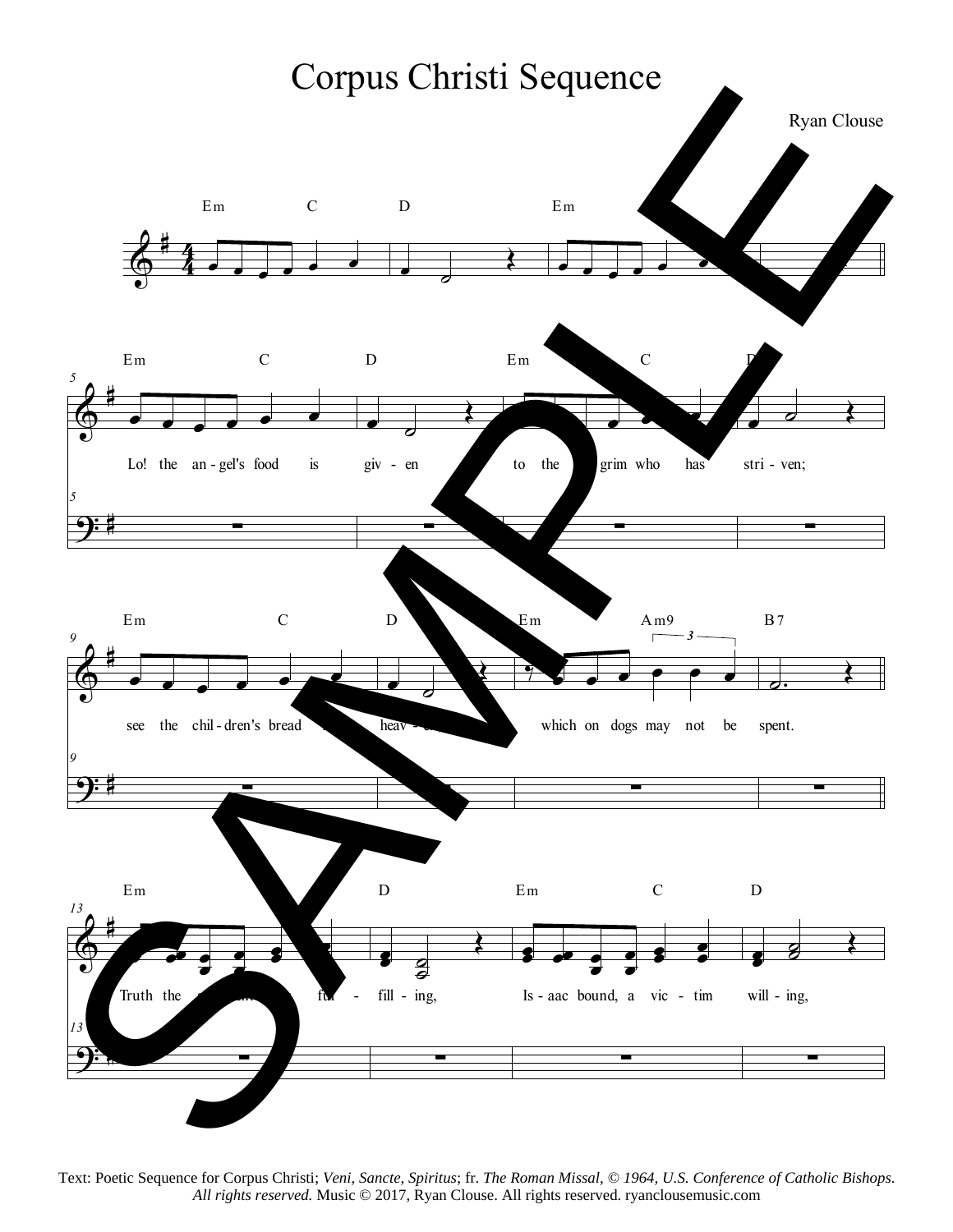

Text: Poetic Sequence for Corpus Christi; *Veni, Sancte, Spiritus*; fr. *The Roman Missal, © 1964, U.S. Conference of Catholic Bishops.* All rights reserved. Music © 2017, Ryan Clouse. All rights reserved. ryanclousemusic.com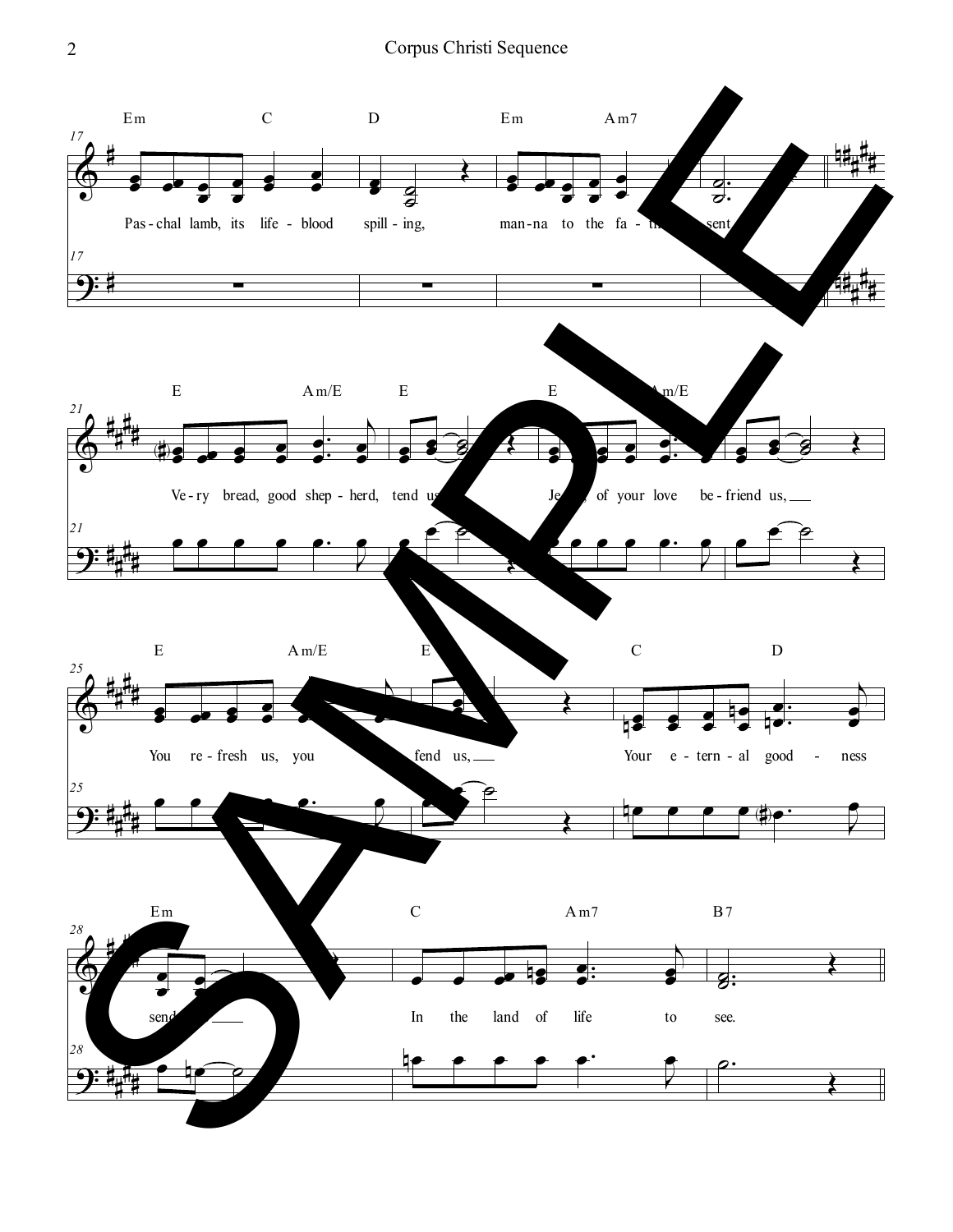